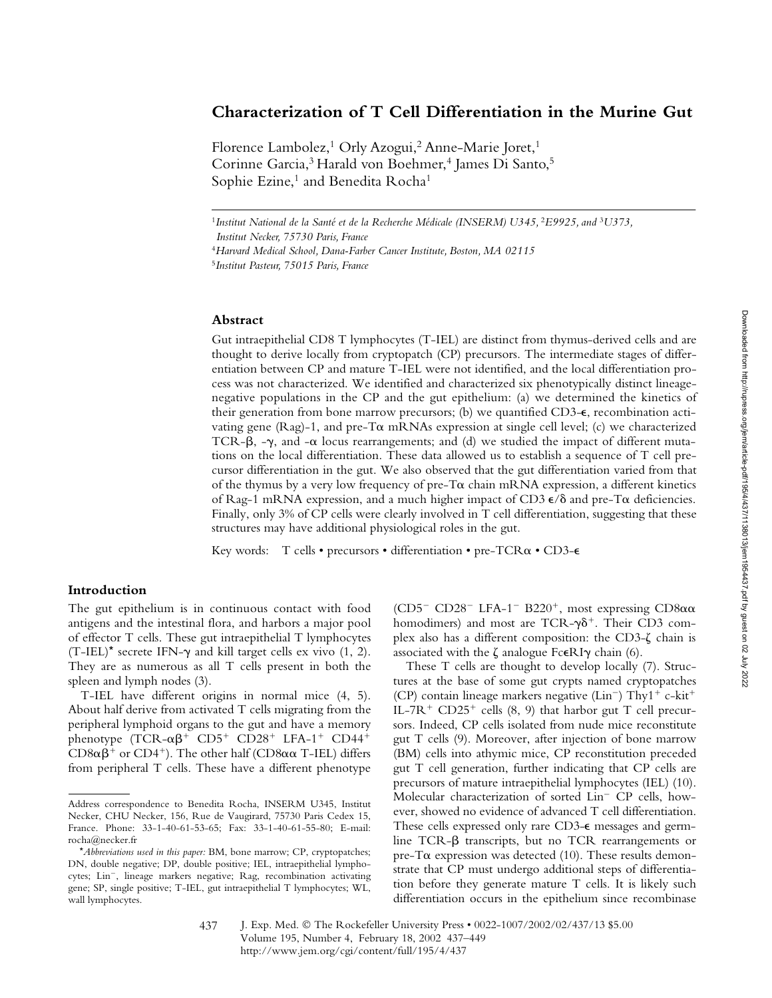# **Characterization of T Cell Differentiation in the Murine Gut**

Florence Lambolez,<sup>1</sup> Orly Azogui,<sup>2</sup> Anne-Marie Joret,<sup>1</sup> Corinne Garcia,<sup>3</sup> Harald von Boehmer,<sup>4</sup> James Di Santo,<sup>5</sup> Sophie Ezine,<sup>1</sup> and Benedita Rocha<sup>1</sup>

<sup>1</sup>Institut National de la Santé et de la Recherche Médicale (INSERM) U345, <sup>2</sup>*E9925*, and <sup>3</sup>U373,

*Institut Necker, 75730 Paris, France*

<sup>4</sup>*Harvard Medical School, Dana-Farber Cancer Institute, Boston, MA 02115*

<sup>5</sup>*Institut Pasteur, 75015 Paris, France* 

## **Abstract**

Gut intraepithelial CD8 T lymphocytes (T-IEL) are distinct from thymus-derived cells and are thought to derive locally from cryptopatch (CP) precursors. The intermediate stages of differentiation between CP and mature T-IEL were not identified, and the local differentiation process was not characterized. We identified and characterized six phenotypically distinct lineagenegative populations in the CP and the gut epithelium: (a) we determined the kinetics of their generation from bone marrow precursors; (b) we quantified CD3- $\epsilon$ , recombination activating gene (Rag)-1, and pre-T $\alpha$  mRNAs expression at single cell level; (c) we characterized TCR- $\beta$ , - $\gamma$ , and - $\alpha$  locus rearrangements; and (d) we studied the impact of different mutations on the local differentiation. These data allowed us to establish a sequence of T cell precursor differentiation in the gut. We also observed that the gut differentiation varied from that of the thymus by a very low frequency of pre-T $\alpha$  chain mRNA expression, a different kinetics of Rag-1 mRNA expression, and a much higher impact of CD3  $\epsilon$ / $\delta$  and pre-T $\alpha$  deficiencies. Finally, only 3% of CP cells were clearly involved in T cell differentiation, suggesting that these structures may have additional physiological roles in the gut.

Key words: T cells • precursors • differentiation • pre-TCRa • CD3- $\epsilon$ 

# **Introduction**

The gut epithelium is in continuous contact with food antigens and the intestinal flora, and harbors a major pool of effector T cells. These gut intraepithelial T lymphocytes  $(T-IEL)^*$  secrete IFN- $\gamma$  and kill target cells ex vivo (1, 2). They are as numerous as all T cells present in both the spleen and lymph nodes (3).

T-IEL have different origins in normal mice (4, 5). About half derive from activated T cells migrating from the peripheral lymphoid organs to the gut and have a memory phenotype  $(TCR - \alpha \beta^+$  CD5<sup>+</sup> CD28<sup>+</sup> LFA-1<sup>+</sup> CD44<sup>+</sup>  $CD8\alpha\beta^+$  or  $CD4^+$ ). The other half ( $CD8\alpha\alpha$  T-IEL) differs from peripheral T cells. These have a different phenotype

(CD5<sup>-</sup> CD28<sup>-</sup> LFA-1<sup>-</sup> B220<sup>+</sup>, most expressing CD8 $\alpha\alpha$ homodimers) and most are TCR- $\gamma\delta^+$ . Their CD3 complex also has a different composition: the CD3- $\zeta$  chain is associated with the  $\zeta$  analogue Fc $\epsilon$ RI $\gamma$  chain (6).

These T cells are thought to develop locally (7). Structures at the base of some gut crypts named cryptopatches (CP) contain lineage markers negative ( $Lin^-$ ) Thy $1^+$  c-kit<sup>+</sup> IL-7R<sup>+</sup> CD25<sup>+</sup> cells (8, 9) that harbor gut T cell precursors. Indeed, CP cells isolated from nude mice reconstitute gut T cells (9). Moreover, after injection of bone marrow (BM) cells into athymic mice, CP reconstitution preceded gut T cell generation, further indicating that CP cells are precursors of mature intraepithelial lymphocytes (IEL) (10). Molecular characterization of sorted Lin<sup>-</sup> CP cells, however, showed no evidence of advanced T cell differentiation. These cells expressed only rare CD3- $\epsilon$  messages and germline TCR- $\beta$  transcripts, but no TCR rearrangements or pre-T $\alpha$  expression was detected (10). These results demonstrate that CP must undergo additional steps of differentiation before they generate mature T cells. It is likely such differentiation occurs in the epithelium since recombinase

Address correspondence to Benedita Rocha, INSERM U345, Institut Necker, CHU Necker, 156, Rue de Vaugirard, 75730 Paris Cedex 15, France. Phone: 33-1-40-61-53-65; Fax: 33-1-40-61-55-80; E-mail: rocha@necker.fr

<sup>\*</sup>*Abbreviations used in this paper:* BM, bone marrow; CP, cryptopatches; DN, double negative; DP, double positive; IEL, intraepithelial lymphocytes; Lin<sup>-</sup>, lineage markers negative; Rag, recombination activating gene; SP, single positive; T-IEL, gut intraepithelial T lymphocytes; WL, wall lymphocytes.

J. Exp. Med. © The Rockefeller University Press • 0022-1007/2002/02/437/13 \$5.00 Volume 195, Number 4, February 18, 2002 437–449 http://www.jem.org/cgi/content/full/195/4/437 437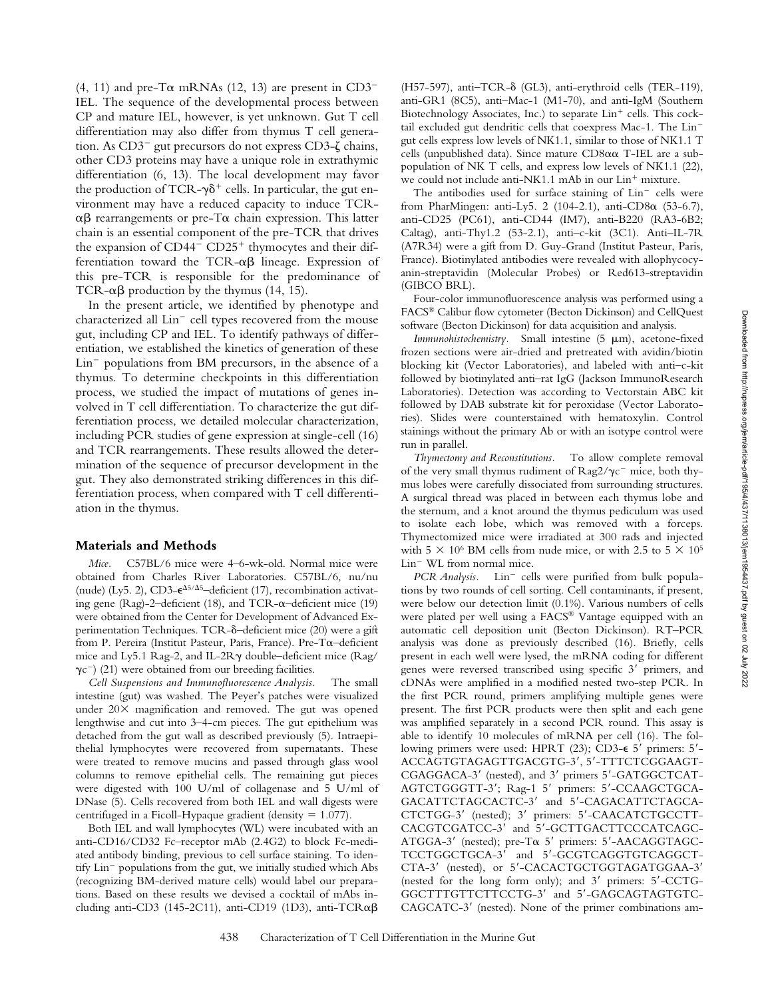(4, 11) and pre-T $\alpha$  mRNAs (12, 13) are present in CD3<sup>-</sup> IEL. The sequence of the developmental process between CP and mature IEL, however, is yet unknown. Gut T cell differentiation may also differ from thymus T cell generation. As  $CD3^-$  gut precursors do not express  $CD3-\zeta$  chains, other CD3 proteins may have a unique role in extrathymic differentiation (6, 13). The local development may favor the production of TCR- $\gamma\delta^+$  cells. In particular, the gut environment may have a reduced capacity to induce TCR-  $\alpha\beta$  rearrangements or pre-T $\alpha$  chain expression. This latter chain is an essential component of the pre-TCR that drives the expansion of  $CD44 - CD25$ <sup>+</sup> thymocytes and their differentiation toward the TCR- $\alpha\beta$  lineage. Expression of this pre-TCR is responsible for the predominance of TCR- $\alpha\beta$  production by the thymus (14, 15).

In the present article, we identified by phenotype and characterized all  $Lin^-$  cell types recovered from the mouse gut, including CP and IEL. To identify pathways of differentiation, we established the kinetics of generation of these  $Lin^-$  populations from BM precursors, in the absence of a thymus. To determine checkpoints in this differentiation process, we studied the impact of mutations of genes involved in T cell differentiation. To characterize the gut differentiation process, we detailed molecular characterization, including PCR studies of gene expression at single-cell (16) and TCR rearrangements. These results allowed the determination of the sequence of precursor development in the gut. They also demonstrated striking differences in this differentiation process, when compared with T cell differentiation in the thymus.

#### **Materials and Methods**

*Mice.* C57BL/6 mice were 4–6-wk-old. Normal mice were obtained from Charles River Laboratories. C57BL/6, nu/nu (nude) (Ly5. 2), CD3- $\epsilon^{\Delta 5/\Delta 5}$ -deficient (17), recombination activating gene (Rag)-2-deficient (18), and TCR- $\alpha$ -deficient mice (19) were obtained from the Center for Development of Advanced Experimentation Techniques. TCR-δ-deficient mice (20) were a gift from P. Pereira (Institut Pasteur, Paris, France). Pre-T $\alpha$ -deficient mice and Ly5.1 Rag-2, and IL-2R $\gamma$  double–deficient mice (Rag/  $\gamma c^{-}$  (21) were obtained from our breeding facilities.

*Cell Suspensions and Immunofluorescence Analysis.* The small intestine (gut) was washed. The Peyer's patches were visualized under  $20 \times$  magnification and removed. The gut was opened lengthwise and cut into 3–4-cm pieces. The gut epithelium was detached from the gut wall as described previously (5). Intraepithelial lymphocytes were recovered from supernatants. These were treated to remove mucins and passed through glass wool columns to remove epithelial cells. The remaining gut pieces were digested with 100 U/ml of collagenase and 5 U/ml of DNase (5). Cells recovered from both IEL and wall digests were centrifuged in a Ficoll-Hypaque gradient (density  $= 1.077$ ).

Both IEL and wall lymphocytes (WL) were incubated with an anti-CD16/CD32 Fc–receptor mAb (2.4G2) to block Fc-mediated antibody binding, previous to cell surface staining. To identify Lin<sup>-</sup> populations from the gut, we initially studied which Abs (recognizing BM-derived mature cells) would label our preparations. Based on these results we devised a cocktail of mAbs including anti-CD3 (145-2C11), anti-CD19 (1D3), anti-TCR $\alpha\beta$ 

 $(H57-597)$ , anti $-TCR-\delta$  (GL3), anti-erythroid cells (TER-119), anti-GR1 (8C5), anti–Mac-1 (M1-70), and anti-IgM (Southern Biotechnology Associates, Inc.) to separate  $Lin<sup>+</sup>$  cells. This cocktail excluded gut dendritic cells that coexpress Mac-1. The Lin gut cells express low levels of NK1.1, similar to those of NK1.1 T cells (unpublished data). Since mature  $CD8\alpha\alpha$  T-IEL are a subpopulation of NK T cells, and express low levels of NK1.1 (22), we could not include anti-NK1.1 mAb in our Lin<sup>+</sup> mixture.

The antibodies used for surface staining of  $Lin^-$  cells were from PharMingen: anti-Ly5. 2 (104-2.1), anti-CD8 $\alpha$  (53-6.7), anti-CD25 (PC61), anti-CD44 (IM7), anti-B220 (RA3-6B2; Caltag), anti-Thy1.2 (53-2.1), anti–c-kit (3C1). Anti–IL-7R (A7R34) were a gift from D. Guy-Grand (Institut Pasteur, Paris, France). Biotinylated antibodies were revealed with allophycocyanin-streptavidin (Molecular Probes) or Red613-streptavidin (GIBCO BRL).

Four-color immunofluorescence analysis was performed using a FACS® Calibur flow cytometer (Becton Dickinson) and CellQuest software (Becton Dickinson) for data acquisition and analysis.

Immunohistochemistry. Small intestine (5  $\mu$ m), acetone-fixed frozen sections were air-dried and pretreated with avidin/biotin blocking kit (Vector Laboratories), and labeled with anti–c-kit followed by biotinylated anti–rat IgG (Jackson ImmunoResearch Laboratories). Detection was according to Vectorstain ABC kit followed by DAB substrate kit for peroxidase (Vector Laboratories). Slides were counterstained with hematoxylin. Control stainings without the primary Ab or with an isotype control were run in parallel.

*Thymectomy and Reconstitutions.* To allow complete removal of the very small thymus rudiment of  $\text{Rag2}/\gamma \text{c}^-$  mice, both thymus lobes were carefully dissociated from surrounding structures. A surgical thread was placed in between each thymus lobe and the sternum, and a knot around the thymus pediculum was used to isolate each lobe, which was removed with a forceps. Thymectomized mice were irradiated at 300 rads and injected with 5  $\times$  10<sup>6</sup> BM cells from nude mice, or with 2.5 to 5  $\times$  10<sup>5</sup>  $Lin^-$  WL from normal mice.

PCR Analysis. Lin<sup>-</sup> cells were purified from bulk populations by two rounds of cell sorting. Cell contaminants, if present, were below our detection limit (0.1%). Various numbers of cells were plated per well using a FACS® Vantage equipped with an automatic cell deposition unit (Becton Dickinson). RT–PCR analysis was done as previously described (16). Briefly, cells present in each well were lysed, the mRNA coding for different genes were reversed transcribed using specific 3' primers, and cDNAs were amplified in a modified nested two-step PCR. In the first PCR round, primers amplifying multiple genes were present. The first PCR products were then split and each gene was amplified separately in a second PCR round. This assay is able to identify 10 molecules of mRNA per cell (16). The following primers were used: HPRT (23); CD3-€ 5' primers: 5'-ACCAGTGTAGAGTTGACGTG-3, 5-TTTCTCGGAAGT-CGAGGACA-3' (nested), and 3' primers 5'-GATGGCTCAT-AGTCTGGGTT-3'; Rag-1 5' primers: 5'-CCAAGCTGCA-GACATTCTAGCACTC-3' and 5'-CAGACATTCTAGCA-CTCTGG-3' (nested); 3' primers: 5'-CAACATCTGCCTT-CACGTCGATCC-3' and 5'-GCTTGACTTCCCATCAGC-ATGGA-3' (nested); pre-T $\alpha$  5' primers: 5'-AACAGGTAGC-TCCTGGCTGCA-3' and 5'-GCGTCAGGTGTCAGGCT-CTA-3' (nested), or 5'-CACACTGCTGGTAGATGGAA-3' (nested for the long form only); and  $3'$  primers:  $5'$ -CCTG-GGCTTTGTTCTTCCTG-3' and 5'-GAGCAGTAGTGTC-CAGCATC-3' (nested). None of the primer combinations am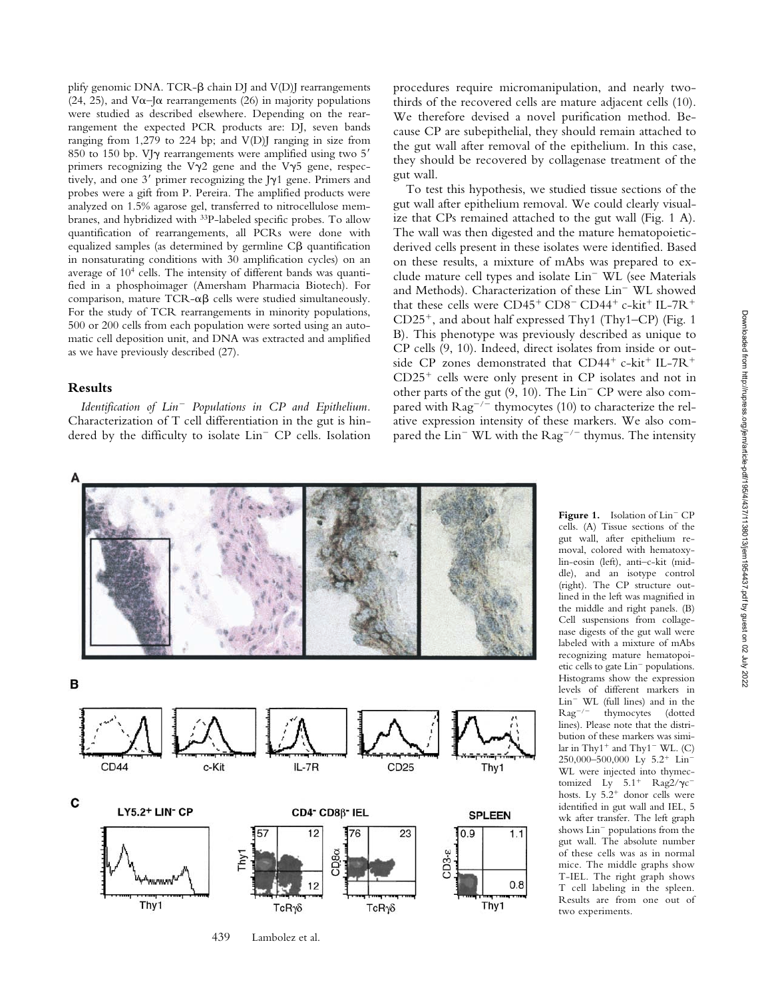plify genomic DNA. TCR- $\beta$  chain DJ and V(D)J rearrangements (24, 25), and V $\alpha$ –J $\alpha$  rearrangements (26) in majority populations were studied as described elsewhere. Depending on the rearrangement the expected PCR products are: DJ, seven bands ranging from 1,279 to 224 bp; and V(D)J ranging in size from 850 to 150 bp. VJ $\gamma$  rearrangements were amplified using two 5' primers recognizing the V $\gamma$ 2 gene and the V $\gamma$ 5 gene, respectively, and one  $3'$  primer recognizing the J $\gamma$ 1 gene. Primers and probes were a gift from P. Pereira. The amplified products were analyzed on 1.5% agarose gel, transferred to nitrocellulose membranes, and hybridized with 33P-labeled specific probes. To allow quantification of rearrangements, all PCRs were done with equalized samples (as determined by germline  $C\beta$  quantification in nonsaturating conditions with 30 amplification cycles) on an average of 104 cells. The intensity of different bands was quantified in a phosphoimager (Amersham Pharmacia Biotech). For comparison, mature  $TCR-\alpha\beta$  cells were studied simultaneously. For the study of TCR rearrangements in minority populations, 500 or 200 cells from each population were sorted using an automatic cell deposition unit, and DNA was extracted and amplified as we have previously described (27).

# **Results**

*Identification of Lin Populations in CP and Epithelium.* Characterization of T cell differentiation in the gut is hindered by the difficulty to isolate  $Lin^-$  CP cells. Isolation procedures require micromanipulation, and nearly twothirds of the recovered cells are mature adjacent cells (10). We therefore devised a novel purification method. Because CP are subepithelial, they should remain attached to the gut wall after removal of the epithelium. In this case, they should be recovered by collagenase treatment of the gut wall.

To test this hypothesis, we studied tissue sections of the gut wall after epithelium removal. We could clearly visualize that CPs remained attached to the gut wall (Fig. 1 A). The wall was then digested and the mature hematopoieticderived cells present in these isolates were identified. Based on these results, a mixture of mAbs was prepared to exclude mature cell types and isolate Lin<sup>-</sup> WL (see Materials and Methods). Characterization of these Lin<sup>-</sup> WL showed that these cells were  $CD45^+$   $CD8^ CD44^+$   $c$ -kit<sup>+</sup> IL-7R<sup>+</sup>  $CD25^+$ , and about half expressed Thy1 (Thy1–CP) (Fig. 1 B). This phenotype was previously described as unique to CP cells (9, 10). Indeed, direct isolates from inside or outside CP zones demonstrated that  $CD44^+$  c-kit<sup>+</sup> IL-7R<sup>+</sup>  $CD25<sup>+</sup>$  cells were only present in CP isolates and not in other parts of the gut  $(9, 10)$ . The Lin<sup>-</sup> CP were also compared with  $\text{Rag}^{-/-}$  thymocytes (10) to characterize the relative expression intensity of these markers. We also compared the  $Lin^-$  WL with the  $Rag^{-/-}$  thymus. The intensity



cells. (A) Tissue sections of the gut wall, after epithelium removal, colored with hematoxylin-eosin (left), anti–c-kit (middle), and an isotype control (right). The CP structure outlined in the left was magnified in the middle and right panels. (B) Cell suspensions from collagenase digests of the gut wall were labeled with a mixture of mAbs recognizing mature hematopoietic cells to gate Lin<sup>-</sup> populations. Histograms show the expression levels of different markers in  $Lin^-$  WL (full lines) and in the  $\text{Rag}^{-/-}$  thymocytes (dotted thymocytes (dotted lines). Please note that the distribution of these markers was similar in Thy1<sup>+</sup> and Thy1<sup>-</sup> WL. (C) 250,000–500,000 Ly 5.2<sup>+</sup> Lin<sup>-</sup> WL were injected into thymectomized Ly  $5.1^+$  Rag2/ $\gamma c$ <sup>-</sup> hosts. Ly  $5.2^+$  donor cells were identified in gut wall and IEL, 5 wk after transfer. The left graph shows Lin<sup>-</sup> populations from the gut wall. The absolute number of these cells was as in normal mice. The middle graphs show T-IEL. The right graph shows T cell labeling in the spleen. Results are from one out of two experiments.

Figure 1. Isolation of Lin<sup>-</sup> CP

439 Lambolez et al.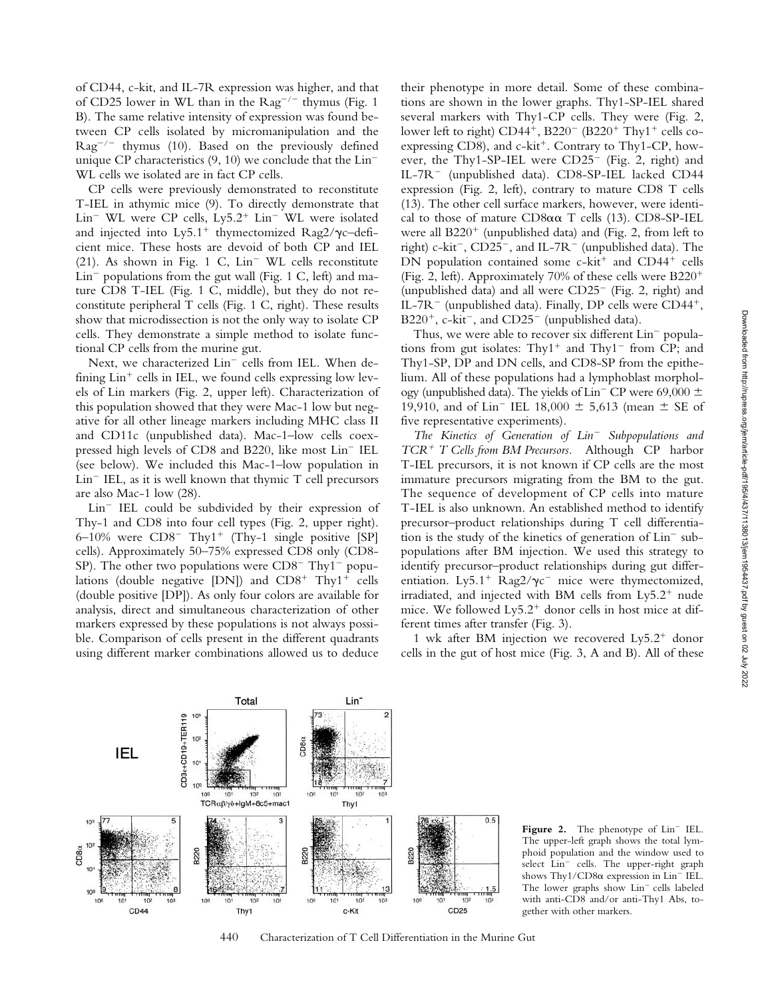of CD44, c-kit, and IL-7R expression was higher, and that of CD25 lower in WL than in the  $\text{Rag}^{-/-}$  thymus (Fig. 1) B). The same relative intensity of expression was found between CP cells isolated by micromanipulation and the  $\text{Rag}^{-/-}$  thymus (10). Based on the previously defined unique CP characteristics  $(9, 10)$  we conclude that the Lin<sup>-</sup> WL cells we isolated are in fact CP cells.

CP cells were previously demonstrated to reconstitute T-IEL in athymic mice (9). To directly demonstrate that  $Lin^-$  WL were CP cells,  $Ly5.2^+$  Lin<sup>-</sup> WL were isolated and injected into Ly5.1<sup>+</sup> thymectomized Rag2/ $\gamma$ c-deficient mice. These hosts are devoid of both CP and IEL  $(21)$ . As shown in Fig. 1 C, Lin<sup>-</sup> WL cells reconstitute  $Lin^-$  populations from the gut wall (Fig. 1 C, left) and mature CD8 T-IEL (Fig. 1 C, middle), but they do not reconstitute peripheral T cells (Fig. 1 C, right). These results show that microdissection is not the only way to isolate CP cells. They demonstrate a simple method to isolate functional CP cells from the murine gut.

Next, we characterized  $Lin^-$  cells from IEL. When defining  $\text{Lin}^+$  cells in IEL, we found cells expressing low levels of Lin markers (Fig. 2, upper left). Characterization of this population showed that they were Mac-1 low but negative for all other lineage markers including MHC class II and CD11c (unpublished data). Mac-1–low cells coexpressed high levels of CD8 and B220, like most Lin<sup>-</sup> IEL (see below). We included this Mac-1–low population in  $Lin^-$  IEL, as it is well known that thymic  $T$  cell precursors are also Mac-1 low (28).

 $Lin^-$  IEL could be subdivided by their expression of Thy-1 and CD8 into four cell types (Fig. 2, upper right). 6–10% were  $CD8^-$  Thy1<sup>+</sup> (Thy-1 single positive [SP] cells). Approximately 50–75% expressed CD8 only (CD8- SP). The other two populations were  $CD8^-$  Thy1<sup>-</sup> populations (double negative [DN]) and  $CD8^+$  Thy1<sup>+</sup> cells (double positive [DP]). As only four colors are available for analysis, direct and simultaneous characterization of other markers expressed by these populations is not always possible. Comparison of cells present in the different quadrants using different marker combinations allowed us to deduce

their phenotype in more detail. Some of these combinations are shown in the lower graphs. Thy1-SP-IEL shared several markers with Thy1-CP cells. They were (Fig. 2, lower left to right)  $CD44^+$ , B220<sup>-</sup> (B220<sup>+</sup> Thy1<sup>+</sup> cells coexpressing CD8), and  $c$ -kit<sup>+</sup>. Contrary to Thy1-CP, however, the Thy1-SP-IEL were  $CD25^-$  (Fig. 2, right) and IL-7R<sup>-</sup> (unpublished data). CD8-SP-IEL lacked CD44 expression (Fig. 2, left), contrary to mature CD8 T cells (13). The other cell surface markers, however, were identical to those of mature  $CD8\alpha\alpha$  T cells (13).  $CD8$ -SP-IEL were all  $B220<sup>+</sup>$  (unpublished data) and (Fig. 2, from left to right) c-kit<sup>-</sup>, CD25<sup>-</sup>, and IL-7R<sup>-</sup> (unpublished data). The DN population contained some  $c$ -kit<sup>+</sup> and CD44<sup>+</sup> cells (Fig. 2, left). Approximately 70% of these cells were  $B220^+$ (unpublished data) and all were  $CD25^-$  (Fig. 2, right) and IL-7R<sup>-</sup> (unpublished data). Finally, DP cells were  $CD44^+$ ,  $B220^+$ , c-kit<sup>-</sup>, and CD25<sup>-</sup> (unpublished data).

Thus, we were able to recover six different Lin<sup>-</sup> populations from gut isolates:  $Thy1^+$  and  $Thy1^-$  from CP; and Thy1-SP, DP and DN cells, and CD8-SP from the epithelium. All of these populations had a lymphoblast morphology (unpublished data). The yields of  $\text{Lin}^-$  CP were 69,000  $\pm$ 19,910, and of Lin<sup>-</sup> IEL 18,000  $\pm$  5,613 (mean  $\pm$  SE of five representative experiments).

*The Kinetics of Generation of Lin Subpopulations and TCR T Cells from BM Precursors.* Although CP harbor T-IEL precursors, it is not known if CP cells are the most immature precursors migrating from the BM to the gut. The sequence of development of CP cells into mature T-IEL is also unknown. An established method to identify precursor–product relationships during T cell differentiation is the study of the kinetics of generation of  $Lin^-$  subpopulations after BM injection. We used this strategy to identify precursor–product relationships during gut differentiation. Ly5.1<sup>+</sup> Rag2/ $\gamma c$ <sup>-</sup> mice were thymectomized, irradiated, and injected with BM cells from  $Ly5.2<sup>+</sup>$  nude mice. We followed  $Ly5.2<sup>+</sup>$  donor cells in host mice at different times after transfer (Fig. 3).

1 wk after BM injection we recovered  $Ly5.2<sup>+</sup>$  donor cells in the gut of host mice (Fig. 3, A and B). All of these



440 Characterization of T Cell Differentiation in the Murine Gut

Figure 2. The phenotype of Lin<sup>-</sup> IEL. The upper-left graph shows the total lymphoid population and the window used to select Lin<sup>-</sup> cells. The upper-right graph shows Thy1/CD8 $\alpha$  expression in Lin<sup>-</sup> IEL. The lower graphs show Lin<sup>-</sup> cells labeled with anti-CD8 and/or anti-Thy1 Abs, together with other markers.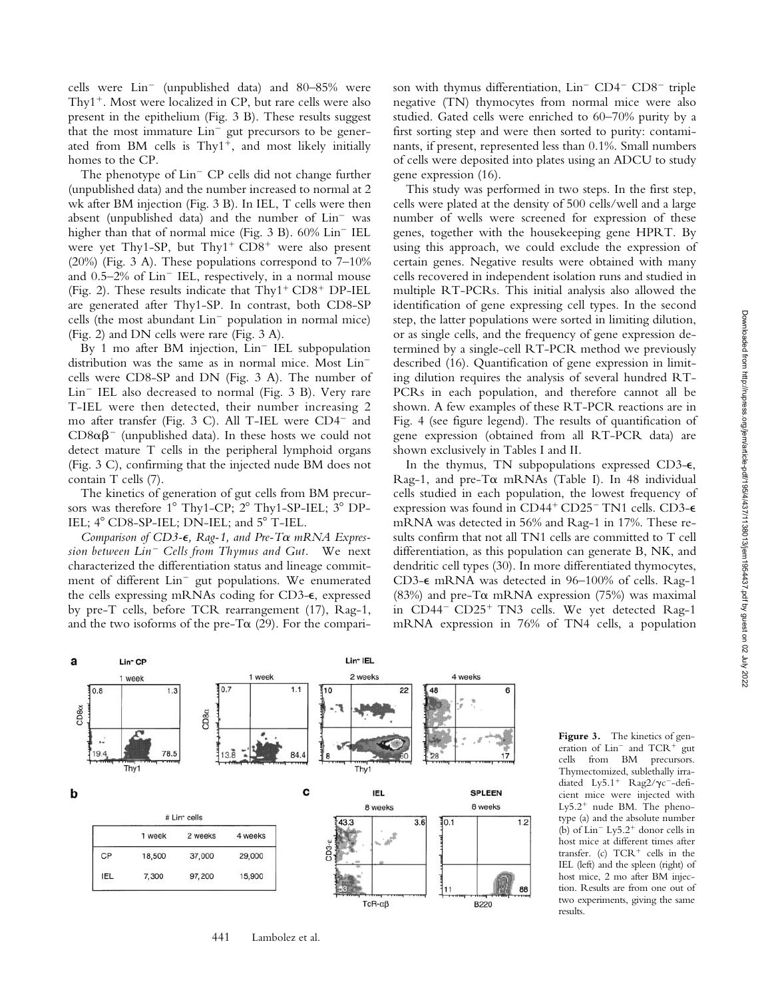cells were  $Lin^-$  (unpublished data) and 80–85% were Thy<sup>1+</sup>. Most were localized in CP, but rare cells were also present in the epithelium (Fig. 3 B). These results suggest that the most immature Lin<sup>-</sup> gut precursors to be generated from BM cells is  $Thy1^{+}$ , and most likely initially homes to the CP.

The phenotype of  $\text{Lin}^-$  CP cells did not change further (unpublished data) and the number increased to normal at 2 wk after BM injection (Fig. 3 B). In IEL, T cells were then absent (unpublished data) and the number of  $Lin^-$  was higher than that of normal mice (Fig.  $3$  B).  $60\%$  Lin<sup>-</sup> IEL were yet Thy1-SP, but Thy1<sup>+</sup>  $CD8$ <sup>+</sup> were also present  $(20%)$  (Fig. 3 A). These populations correspond to  $7-10%$ and  $0.5-2\%$  of  $Lin^-$  IEL, respectively, in a normal mouse (Fig. 2). These results indicate that  $Thy1<sup>+</sup>CD8<sup>+</sup>DP-IEL$ are generated after Thy1-SP. In contrast, both CD8-SP cells (the most abundant  $Lin^-$  population in normal mice) (Fig. 2) and DN cells were rare (Fig. 3 A).

By 1 mo after BM injection,  $Lin^-$  IEL subpopulation distribution was the same as in normal mice. Most Lin cells were CD8-SP and DN (Fig. 3 A). The number of  $Lin^-$  IEL also decreased to normal (Fig. 3 B). Very rare T-IEL were then detected, their number increasing 2 mo after transfer (Fig. 3 C). All T-IEL were CD4<sup>-</sup> and  $CD8\alpha\beta$ <sup>-</sup> (unpublished data). In these hosts we could not detect mature T cells in the peripheral lymphoid organs (Fig. 3 C), confirming that the injected nude BM does not contain T cells (7).

The kinetics of generation of gut cells from BM precursors was therefore  $1^{\circ}$  Thy1-CP;  $2^{\circ}$  Thy1-SP-IEL;  $3^{\circ}$  DP-IEL;  $4^{\circ}$  CD8-SP-IEL; DN-IEL; and  $5^{\circ}$  T-IEL.

Comparison of CD3- $\epsilon$ , Rag-1, and Pre-T $\alpha$  mRNA Expres*sion between Lin Cells from Thymus and Gut.* We next characterized the differentiation status and lineage commitment of different Lin<sup>-</sup> gut populations. We enumerated the cells expressing mRNAs coding for CD3- $\epsilon$ , expressed by pre-T cells, before TCR rearrangement (17), Rag-1, and the two isoforms of the pre-T $\alpha$  (29). For the comparison with thymus differentiation,  $Lin^-$  CD4<sup>-</sup> CD8<sup>-</sup> triple negative (TN) thymocytes from normal mice were also studied. Gated cells were enriched to 60–70% purity by a first sorting step and were then sorted to purity: contaminants, if present, represented less than 0.1%. Small numbers of cells were deposited into plates using an ADCU to study gene expression (16).

This study was performed in two steps. In the first step, cells were plated at the density of 500 cells/well and a large number of wells were screened for expression of these genes, together with the housekeeping gene HPRT. By using this approach, we could exclude the expression of certain genes. Negative results were obtained with many cells recovered in independent isolation runs and studied in multiple RT-PCRs. This initial analysis also allowed the identification of gene expressing cell types. In the second step, the latter populations were sorted in limiting dilution, or as single cells, and the frequency of gene expression determined by a single-cell RT-PCR method we previously described (16). Quantification of gene expression in limiting dilution requires the analysis of several hundred RT-PCRs in each population, and therefore cannot all be shown. A few examples of these RT-PCR reactions are in Fig. 4 (see figure legend). The results of quantification of gene expression (obtained from all RT-PCR data) are shown exclusively in Tables I and II.

In the thymus, TN subpopulations expressed CD3- $\epsilon$ , Rag-1, and pre-T $\alpha$  mRNAs (Table I). In 48 individual cells studied in each population, the lowest frequency of expression was found in CD44<sup>+</sup> CD25<sup>-</sup> TN1 cells. CD3- $\epsilon$ mRNA was detected in 56% and Rag-1 in 17%. These results confirm that not all TN1 cells are committed to T cell differentiation, as this population can generate B, NK, and dendritic cell types (30). In more differentiated thymocytes, CD3- $\epsilon$  mRNA was detected in 96-100% of cells. Rag-1 (83%) and pre-T $\alpha$  mRNA expression (75%) was maximal in CD44<sup>-</sup> CD25<sup>+</sup> TN3 cells. We yet detected Rag-1 mRNA expression in 76% of TN4 cells, a population



**Figure 3.** The kinetics of generation of  $Lin^-$  and  $TCR^+$  gut cells from BM precursors. Thymectomized, sublethally irradiated Ly5.1<sup>+</sup> Rag2/ $\gamma c^-$ -deficient mice were injected with Ly5.2<sup>+</sup> nude BM. The phenotype (a) and the absolute number (b) of  $Lin^-$  Ly5.2<sup>+</sup> donor cells in host mice at different times after transfer. (c)  $TCR<sup>+</sup>$  cells in the IEL (left) and the spleen (right) of host mice, 2 mo after BM injection. Results are from one out of two experiments, giving the same results.

441 Lambolez et al.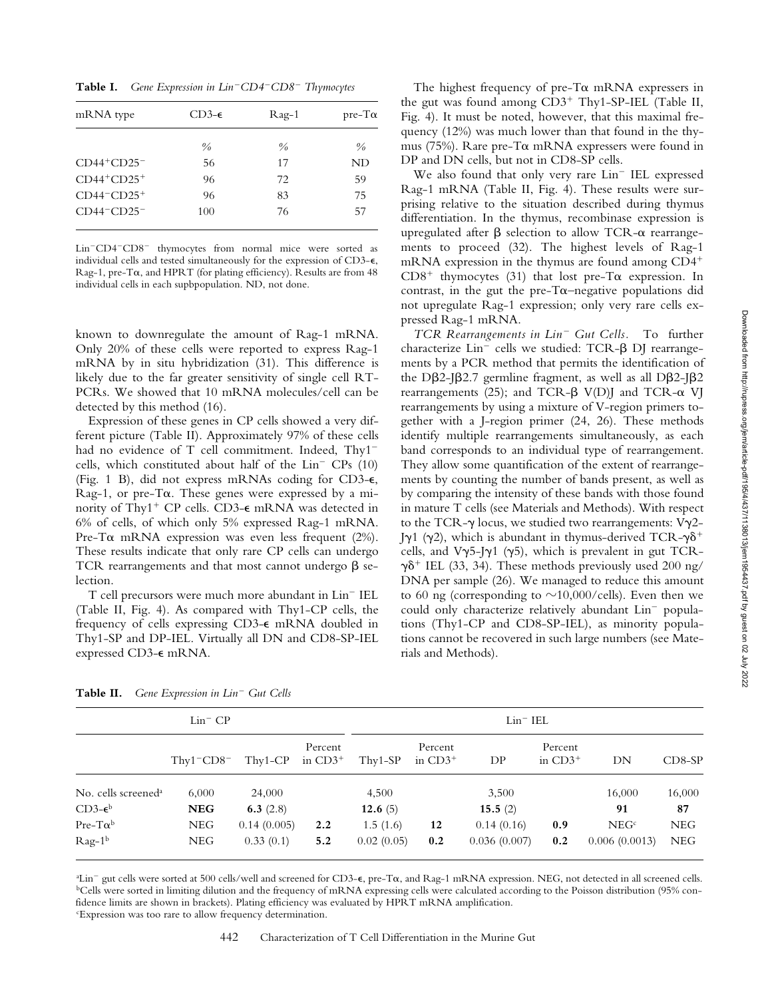**Table I.** *Gene Expression in LinCD4CD8 Thymocytes*

| mRNA type                                        | $CD3-\epsilon$ | Rag-1         | $pre-T\alpha$ |  |
|--------------------------------------------------|----------------|---------------|---------------|--|
|                                                  | $\frac{0}{0}$  | $\frac{0}{0}$ | $\frac{0}{0}$ |  |
| $CD44+CD25$ <sup>-</sup>                         | 56             | 17            | ND            |  |
| $CD44+CD25+$                                     | 96             | 72            | 59            |  |
| $CD44$ <sup>-</sup> $CD25$ <sup>+</sup>          | 96             | 83            | 75            |  |
| $CD44$ <sup>-<math>CD25</math><sup>-</sup></sup> | 100            | 76            | 57            |  |

Lin<sup>-</sup>CD4<sup>-</sup>CD8<sup>-</sup> thymocytes from normal mice were sorted as individual cells and tested simultaneously for the expression of  $CD3-\epsilon$ , Rag-1, pre-T $\alpha$ , and HPRT (for plating efficiency). Results are from 48 individual cells in each supbpopulation. ND, not done.

known to downregulate the amount of Rag-1 mRNA. Only 20% of these cells were reported to express Rag-1 mRNA by in situ hybridization (31). This difference is likely due to the far greater sensitivity of single cell RT-PCRs. We showed that 10 mRNA molecules/cell can be detected by this method (16).

Expression of these genes in CP cells showed a very different picture (Table II). Approximately 97% of these cells had no evidence of T cell commitment. Indeed, Thy1<sup>-</sup> cells, which constituted about half of the  $Lin<sup>-</sup>CPs$  (10) (Fig. 1 B), did not express mRNAs coding for CD3- $\epsilon$ , Rag-1, or pre-T $\alpha$ . These genes were expressed by a minority of Thy1<sup>+</sup> CP cells. CD3- $\epsilon$  mRNA was detected in 6% of cells, of which only 5% expressed Rag-1 mRNA. Pre-T $\alpha$  mRNA expression was even less frequent (2%). These results indicate that only rare CP cells can undergo TCR rearrangements and that most cannot undergo  $\beta$  selection.

T cell precursors were much more abundant in Lin<sup>-</sup> IEL (Table II, Fig. 4). As compared with Thy1-CP cells, the frequency of cells expressing CD3- $\epsilon$  mRNA doubled in Thy1-SP and DP-IEL. Virtually all DN and CD8-SP-IEL expressed CD3-€ mRNA.

The highest frequency of pre-T $\alpha$  mRNA expressers in the gut was found among  $CD3^+$  Thy1-SP-IEL (Table II, Fig. 4). It must be noted, however, that this maximal frequency (12%) was much lower than that found in the thymus (75%). Rare pre-T $\alpha$  mRNA expressers were found in DP and DN cells, but not in CD8-SP cells.

We also found that only very rare  $Lin^-$  IEL expressed Rag-1 mRNA (Table II, Fig. 4). These results were surprising relative to the situation described during thymus differentiation. In the thymus, recombinase expression is upregulated after  $\beta$  selection to allow TCR- $\alpha$  rearrangements to proceed (32). The highest levels of Rag-1 mRNA expression in the thymus are found among CD4  $CD8<sup>+</sup>$  thymocytes (31) that lost pre-T $\alpha$  expression. In contrast, in the gut the pre-T $\alpha$ -negative populations did not upregulate Rag-1 expression; only very rare cells expressed Rag-1 mRNA.

*TCR Rearrangements in Lin Gut Cells.* To further characterize  $Lin^-$  cells we studied: TCR- $\beta$  DJ rearrangements by a PCR method that permits the identification of the D $\beta$ 2-J $\beta$ 2.7 germline fragment, as well as all D $\beta$ 2-J $\beta$ 2 rearrangements (25); and TCR- $\beta$  V(D)J and TCR- $\alpha$  VJ rearrangements by using a mixture of V-region primers together with a J-region primer (24, 26). These methods identify multiple rearrangements simultaneously, as each band corresponds to an individual type of rearrangement. They allow some quantification of the extent of rearrangements by counting the number of bands present, as well as by comparing the intensity of these bands with those found in mature T cells (see Materials and Methods). With respect to the TCR- $\gamma$  locus, we studied two rearrangements: V $\gamma$ 2-J $\gamma$ 1 ( $\gamma$ 2), which is abundant in thymus-derived TCR- $\gamma$  $\delta$ <sup>+</sup> cells, and  $V\gamma$ 5-J $\gamma$ 1 ( $\gamma$ 5), which is prevalent in gut TCR- $\gamma\delta$ <sup>+</sup> IEL (33, 34). These methods previously used 200 ng/ DNA per sample (26). We managed to reduce this amount to 60 ng (corresponding to  $\sim$ 10,000/cells). Even then we could only characterize relatively abundant Lin<sup>-</sup> populations (Thy1-CP and CD8-SP-IEL), as minority populations cannot be recovered in such large numbers (see Materials and Methods).

|                                 | $Lin$ <sup><math>-</math></sup> $CP$            |             |                       | $Lin^-$ IEL |                       |              |                       |                  |          |
|---------------------------------|-------------------------------------------------|-------------|-----------------------|-------------|-----------------------|--------------|-----------------------|------------------|----------|
|                                 | $Thv1$ <sup>-<math>CD8</math><sup>-</sup></sup> | Thy1-CP     | Percent<br>in $CD3^+$ | $Thv1-SP$   | Percent<br>in $CD3^+$ | DP           | Percent<br>in $CD3^+$ | DN               | $CD8-SP$ |
| No. cells screened <sup>a</sup> | 6,000                                           | 24,000      |                       | 4,500       |                       | 3,500        |                       | 16,000           | 16,000   |
| $CD3-\epsilon^b$                | <b>NEG</b>                                      | 6.3 $(2.8)$ |                       | 12.6 $(5)$  |                       | 15.5 $(2)$   |                       | 91               | 87       |
| $Pre- T\alpha^b$                | <b>NEG</b>                                      | 0.14(0.005) | 2.2                   | 1.5(1.6)    | 12                    | 0.14(0.16)   | 0.9                   | NEG <sup>c</sup> | NEG      |
| $\text{Rag-1}^{\text{b}}$       | NEG                                             | 0.33(0.1)   | 5.2                   | 0.02(0.05)  | 0.2                   | 0.036(0.007) | 0.2                   | 0.006(0.0013)    | NEG      |

**Table II.** *Gene Expression in Lin Gut Cells*

<sup>a</sup>Lin<sup>-</sup> gut cells were sorted at 500 cells/well and screened for CD3- $\epsilon$ , pre-T $\alpha$ , and Rag-1 mRNA expression. NEG, not detected in all screened cells. bCells were sorted in limiting dilution and the frequency of mRNA expressing cells were calculated according to the Poisson distribution (95% confidence limits are shown in brackets). Plating efficiency was evaluated by HPRT mRNA amplification.

c Expression was too rare to allow frequency determination.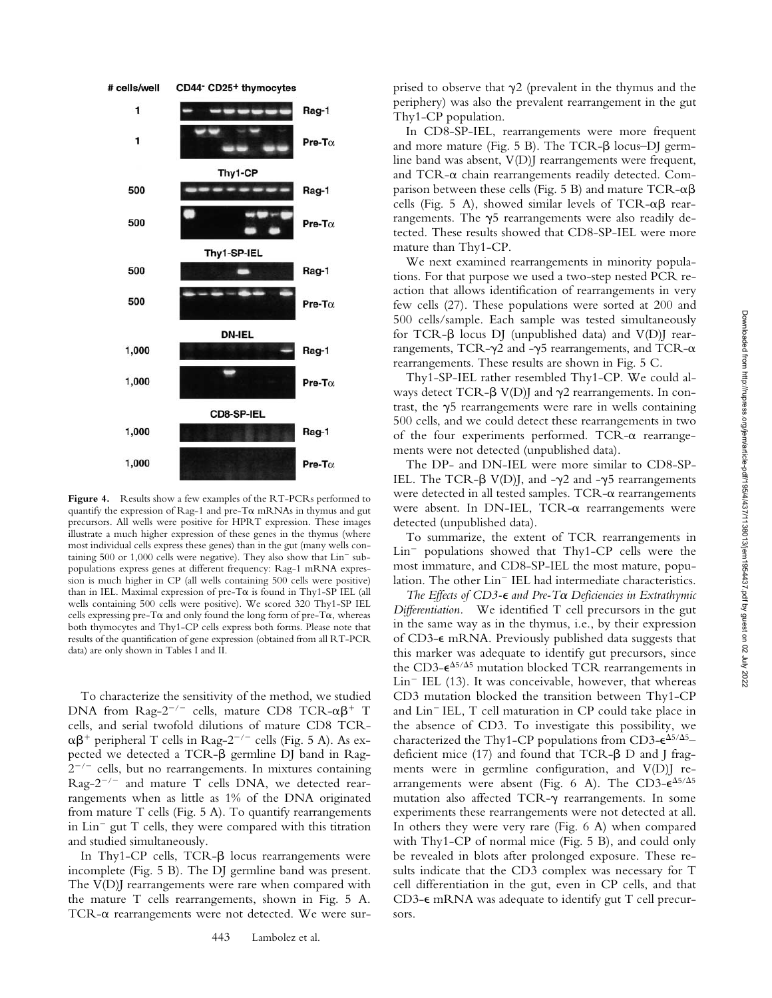

**Figure 4.** Results show a few examples of the RT-PCRs performed to quantify the expression of Rag-1 and pre-T $\alpha$  mRNAs in thymus and gut precursors. All wells were positive for HPRT expression. These images illustrate a much higher expression of these genes in the thymus (where most individual cells express these genes) than in the gut (many wells containing  $500$  or  $1,000$  cells were negative). They also show that  $Lin<sup>-</sup>$  subpopulations express genes at different frequency: Rag-1 mRNA expression is much higher in CP (all wells containing 500 cells were positive) than in IEL. Maximal expression of pre-T $\alpha$  is found in Thy1-SP IEL (all wells containing 500 cells were positive). We scored 320 Thy1-SP IEL cells expressing pre-T $\alpha$  and only found the long form of pre-T $\alpha$ , whereas both thymocytes and Thy1-CP cells express both forms. Please note that results of the quantification of gene expression (obtained from all RT-PCR data) are only shown in Tables I and II.

To characterize the sensitivity of the method, we studied DNA from Rag- $2^{-/-}$  cells, mature CD8 TCR- $\alpha\beta^+$  T cells, and serial twofold dilutions of mature CD8 TCR-  $\alpha\beta^+$  peripheral T cells in Rag-2<sup>-/-</sup> cells (Fig. 5 A). As expected we detected a TCR- $\beta$  germline DJ band in Rag- $2^{-/-}$  cells, but no rearrangements. In mixtures containing Rag- $2^{-/-}$  and mature T cells DNA, we detected rearrangements when as little as 1% of the DNA originated from mature T cells (Fig. 5 A). To quantify rearrangements in  $Lin^-$  gut  $T$  cells, they were compared with this titration and studied simultaneously.

In Thy1-CP cells, TCR- $\beta$  locus rearrangements were incomplete (Fig. 5 B). The DJ germline band was present. The V(D)J rearrangements were rare when compared with the mature T cells rearrangements, shown in Fig. 5 A. TCR- $\alpha$  rearrangements were not detected. We were surprised to observe that  $\gamma$ 2 (prevalent in the thymus and the periphery) was also the prevalent rearrangement in the gut Thy1-CP population.

In CD8-SP-IEL, rearrangements were more frequent and more mature (Fig.  $5 \text{ B}$ ). The TCR- $\beta$  locus–DJ germline band was absent, V(D)J rearrangements were frequent, and TCR- $\alpha$  chain rearrangements readily detected. Comparison between these cells (Fig. 5 B) and mature  $TCR-\alpha\beta$ cells (Fig. 5 A), showed similar levels of TCR- $\alpha\beta$  rearrangements. The  $\gamma$ 5 rearrangements were also readily detected. These results showed that CD8-SP-IEL were more mature than Thy1-CP.

We next examined rearrangements in minority populations. For that purpose we used a two-step nested PCR reaction that allows identification of rearrangements in very few cells (27). These populations were sorted at 200 and 500 cells/sample. Each sample was tested simultaneously for TCR- $\beta$  locus DJ (unpublished data) and V(D)J rearrangements, TCR- $\gamma$ 2 and - $\gamma$ 5 rearrangements, and TCR- $\alpha$ rearrangements. These results are shown in Fig. 5 C.

Thy1-SP-IEL rather resembled Thy1-CP. We could always detect TCR- $\beta$  V(D)J and  $\gamma$ 2 rearrangements. In contrast, the  $\gamma$ 5 rearrangements were rare in wells containing 500 cells, and we could detect these rearrangements in two of the four experiments performed. TCR- $\alpha$  rearrangements were not detected (unpublished data).

The DP- and DN-IEL were more similar to CD8-SP-IEL. The TCR- $\beta$  V(D)J, and - $\gamma$ 2 and - $\gamma$ 5 rearrangements were detected in all tested samples. TCR- $\alpha$  rearrangements were absent. In DN-IEL,  $TCR-\alpha$  rearrangements were detected (unpublished data).

To summarize, the extent of TCR rearrangements in  $Lin^-$  populations showed that Thy1-CP cells were the most immature, and CD8-SP-IEL the most mature, population. The other Lin<sup>-</sup> IEL had intermediate characteristics.

*The Effects of CD3-€ and Pre-T* $\alpha$  Deficiencies in Extrathymic *Differentiation.* We identified T cell precursors in the gut in the same way as in the thymus, i.e., by their expression of CD3- $\epsilon$  mRNA. Previously published data suggests that this marker was adequate to identify gut precursors, since the CD3- $\epsilon^{\Delta 5/\Delta 5}$  mutation blocked TCR rearrangements in  $Lin^-$  IEL (13). It was conceivable, however, that whereas CD3 mutation blocked the transition between Thy1-CP and  $Lin$ <sup>-</sup> IEL,  $T$  cell maturation in CP could take place in the absence of CD3. To investigate this possibility, we characterized the Thy1-CP populations from CD3- $\varepsilon^{\Delta 5/\Delta 5}$ deficient mice  $(17)$  and found that TCR- $\beta$  D and J fragments were in germline configuration, and V(D)J rearrangements were absent (Fig. 6 A). The CD3- $\epsilon^{\Delta 5/\Delta 5}$ mutation also affected TCR- $\gamma$  rearrangements. In some experiments these rearrangements were not detected at all. In others they were very rare (Fig. 6 A) when compared with Thy1-CP of normal mice (Fig. 5 B), and could only be revealed in blots after prolonged exposure. These results indicate that the CD3 complex was necessary for T cell differentiation in the gut, even in CP cells, and that CD3- $\epsilon$  mRNA was adequate to identify gut T cell precursors.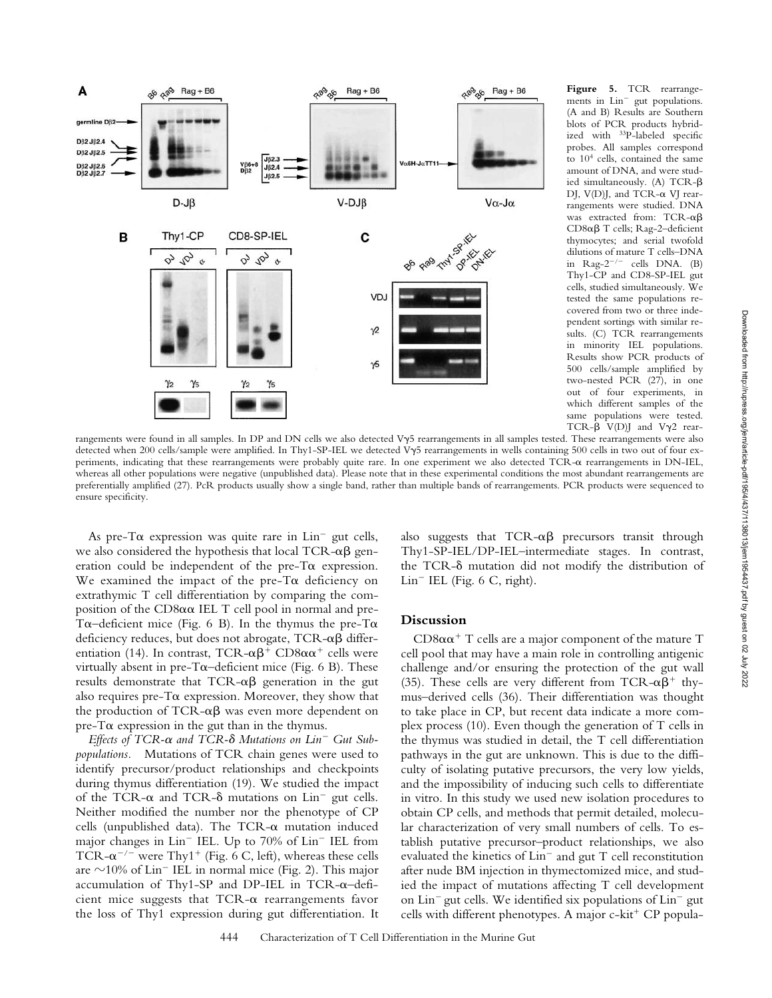

**Figure 5.** TCR rearrangements in Lin<sup>-</sup> gut populations. (A and B) Results are Southern blots of PCR products hybridized with 33P-labeled specific probes. All samples correspond to 104 cells, contained the same amount of DNA, and were studied simultaneously. (A) TCR- $\beta$ DJ, V(D)J, and TCR- $\alpha$  VJ rearrangements were studied. DNA was extracted from:  $TCR-\alpha\beta$ CD8 $\alpha\beta$  T cells; Rag-2-deficient thymocytes; and serial twofold dilutions of mature T cells–DNA in  $\text{Rag-2}^{-/-}$  cells DNA. (B) Thy1-CP and CD8-SP-IEL gut cells, studied simultaneously. We tested the same populations recovered from two or three independent sortings with similar results. (C) TCR rearrangements in minority IEL populations. Results show PCR products of 500 cells/sample amplified by two-nested PCR (27), in one out of four experiments, in which different samples of the same populations were tested. TCR- $\beta$  V(D)J and V $\gamma$ 2 rear-

rangements were found in all samples. In DP and DN cells we also detected Vy5 rearrangements in all samples tested. These rearrangements were also detected when 200 cells/sample were amplified. In Thy1-SP-IEL we detected Vy5 rearrangements in wells containing 500 cells in two out of four experiments, indicating that these rearrangements were probably quite rare. In one experiment we also detected TCR- $\alpha$  rearrangements in DN-IEL, whereas all other populations were negative (unpublished data). Please note that in these experimental conditions the most abundant rearrangements are preferentially amplified (27). PcR products usually show a single band, rather than multiple bands of rearrangements. PCR products were sequenced to ensure specificity.

As pre-T $\alpha$  expression was quite rare in Lin<sup>-</sup> gut cells, we also considered the hypothesis that local TCR- $\alpha\beta$  generation could be independent of the pre-T $\alpha$  expression. We examined the impact of the pre-T $\alpha$  deficiency on extrathymic T cell differentiation by comparing the composition of the  $CD8\alpha\alpha$  IEL T cell pool in normal and pre-T $\alpha$ –deficient mice (Fig. 6 B). In the thymus the pre-T $\alpha$ deficiency reduces, but does not abrogate,  $TCR-\alpha\beta$  differentiation (14). In contrast, TCR- $\alpha\beta$ <sup>+</sup> CD8 $\alpha\alpha$ <sup>+</sup> cells were virtually absent in pre-T $\alpha$ –deficient mice (Fig. 6 B). These results demonstrate that  $TCR-\alpha\beta$  generation in the gut also requires pre-T $\alpha$  expression. Moreover, they show that the production of TCR- $\alpha\beta$  was even more dependent on  $pre-T\alpha$  expression in the gut than in the thymus.

*Effects of TCR- and TCR- Mutations on Lin Gut Subpopulations.* Mutations of TCR chain genes were used to identify precursor/product relationships and checkpoints during thymus differentiation (19). We studied the impact of the TCR- $\alpha$  and TCR- $\delta$  mutations on Lin<sup>-</sup> gut cells. Neither modified the number nor the phenotype of CP cells (unpublished data). The  $TCR-\alpha$  mutation induced major changes in  $Lin^-$  IEL. Up to 70% of  $Lin^-$  IEL from TCR- $\alpha$ <sup>-/-</sup> were Thy1<sup>+</sup> (Fig. 6 C, left), whereas these cells are  $\sim$ 10% of Lin<sup>-</sup> IEL in normal mice (Fig. 2). This major accumulation of Thy1-SP and DP-IEL in TCR- $\alpha$ -deficient mice suggests that TCR- $\alpha$  rearrangements favor the loss of Thy1 expression during gut differentiation. It

also suggests that  $TCR-\alpha\beta$  precursors transit through Thy1-SP-IEL/DP-IEL–intermediate stages. In contrast, the TCR- $\delta$  mutation did not modify the distribution of  $Lin^-$  IEL (Fig. 6 C, right).

## **Discussion**

 $CD8\alpha\alpha^+$  T cells are a major component of the mature T cell pool that may have a main role in controlling antigenic challenge and/or ensuring the protection of the gut wall (35). These cells are very different from TCR- $\alpha\beta^+$  thymus–derived cells (36). Their differentiation was thought to take place in CP, but recent data indicate a more complex process (10). Even though the generation of T cells in the thymus was studied in detail, the T cell differentiation pathways in the gut are unknown. This is due to the difficulty of isolating putative precursors, the very low yields, and the impossibility of inducing such cells to differentiate in vitro. In this study we used new isolation procedures to obtain CP cells, and methods that permit detailed, molecular characterization of very small numbers of cells. To establish putative precursor–product relationships, we also evaluated the kinetics of  $Lin^-$  and gut  $T$  cell reconstitution after nude BM injection in thymectomized mice, and studied the impact of mutations affecting T cell development on  $\text{Lin}^-$  gut cells. We identified six populations of  $\text{Lin}^-$  gut cells with different phenotypes. A major  $c$ -kit<sup>+</sup> CP popula-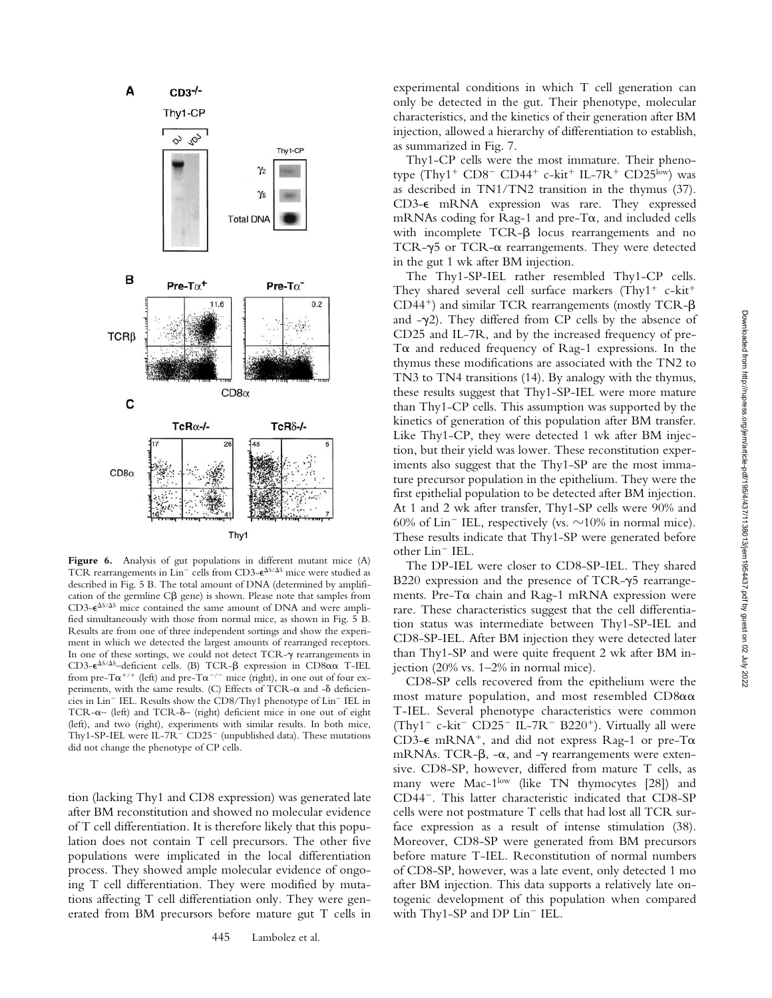

Figure 6. Analysis of gut populations in different mutant mice (A) TCR rearrangements in  $\text{Lin}^-$  cells from CD3- $\epsilon^{\Delta 5/\Delta 5}$  mice were studied as described in Fig. 5 B. The total amount of DNA (determined by amplification of the germline  $C\beta$  gene) is shown. Please note that samples from  $CD3-**e**<sup>Δ5/Δ5</sup> mice contained the same amount of DNA and were ampli$ fied simultaneously with those from normal mice, as shown in Fig. 5 B. Results are from one of three independent sortings and show the experiment in which we detected the largest amounts of rearranged receptors. In one of these sortings, we could not detect  $TCR-\gamma$  rearrangements in CD3- $\epsilon^{\Delta 5/\Delta 5}$ -deficient cells. (B) TCR- $\beta$  expression in CD8 $\alpha\alpha$  T-IEL from pre-T $\alpha^{+/+}$  (left) and pre-T $\alpha^{-/-}$  mice (right), in one out of four experiments, with the same results. (C) Effects of TCR- $\alpha$  and - $\delta$  deficiencies in Lin<sup>-</sup> IEL. Results show the CD8/Thy1 phenotype of Lin<sup>-</sup> IEL in TCR- $\alpha$ – (left) and TCR- $\delta$ – (right) deficient mice in one out of eight (left), and two (right), experiments with similar results. In both mice, Thy1-SP-IEL were IL-7R<sup>-</sup> CD25<sup>-</sup> (unpublished data). These mutations did not change the phenotype of CP cells.

tion (lacking Thy1 and CD8 expression) was generated late after BM reconstitution and showed no molecular evidence of T cell differentiation. It is therefore likely that this population does not contain T cell precursors. The other five populations were implicated in the local differentiation process. They showed ample molecular evidence of ongoing T cell differentiation. They were modified by mutations affecting T cell differentiation only. They were generated from BM precursors before mature gut T cells in

experimental conditions in which T cell generation can only be detected in the gut. Their phenotype, molecular characteristics, and the kinetics of their generation after BM injection, allowed a hierarchy of differentiation to establish, as summarized in Fig. 7.

Thy1-CP cells were the most immature. Their phenotype  $(Thy1^+$  CD8<sup>-</sup> CD44<sup>+</sup> c-kit<sup>+</sup> IL-7R<sup>+</sup> CD25<sup>low</sup>) was as described in TN1/TN2 transition in the thymus (37). CD3- $\epsilon$  mRNA expression was rare. They expressed mRNAs coding for Rag-1 and pre-T $\alpha$ , and included cells with incomplete  $TCR-\beta$  locus rearrangements and no TCR- $\gamma$ 5 or TCR- $\alpha$  rearrangements. They were detected in the gut 1 wk after BM injection.

The Thy1-SP-IEL rather resembled Thy1-CP cells. They shared several cell surface markers  $(Thy1^+$  c-kit<sup>+</sup>  $CD44^+$ ) and similar TCR rearrangements (mostly TCR- $\beta$ and  $-\gamma$ 2). They differed from CP cells by the absence of CD25 and IL-7R, and by the increased frequency of pre-T $\alpha$  and reduced frequency of Rag-1 expressions. In the thymus these modifications are associated with the TN2 to TN3 to TN4 transitions (14). By analogy with the thymus, these results suggest that Thy1-SP-IEL were more mature than Thy1-CP cells. This assumption was supported by the kinetics of generation of this population after BM transfer. Like Thy1-CP, they were detected 1 wk after BM injection, but their yield was lower. These reconstitution experiments also suggest that the Thy1-SP are the most immature precursor population in the epithelium. They were the first epithelial population to be detected after BM injection. At 1 and 2 wk after transfer, Thy1-SP cells were 90% and 60% of  $Lin^-$  IEL, respectively (vs.  $\sim$ 10% in normal mice). These results indicate that Thy1-SP were generated before other Lin<sup>-</sup> IEL.

The DP-IEL were closer to CD8-SP-IEL. They shared B220 expression and the presence of TCR- $\gamma$ 5 rearrangements. Pre-T $\alpha$  chain and Rag-1 mRNA expression were rare. These characteristics suggest that the cell differentiation status was intermediate between Thy1-SP-IEL and CD8-SP-IEL. After BM injection they were detected later than Thy1-SP and were quite frequent 2 wk after BM injection (20% vs. 1–2% in normal mice).

CD8-SP cells recovered from the epithelium were the most mature population, and most resembled  $CD8\alpha\alpha$ T-IEL. Several phenotype characteristics were common (Thy<sup>1-</sup> c-kit<sup>-</sup> CD25<sup>-</sup> IL-7R<sup>-</sup> B220<sup>+</sup>). Virtually all were CD3- $\epsilon$  mRNA<sup>+</sup>, and did not express Rag-1 or pre-T $\alpha$ mRNAs. TCR- $\beta$ , - $\alpha$ , and - $\gamma$  rearrangements were extensive. CD8-SP, however, differed from mature T cells, as many were Mac-1<sup>low</sup> (like TN thymocytes [28]) and CD44<sup>-</sup>. This latter characteristic indicated that CD8-SP cells were not postmature T cells that had lost all TCR surface expression as a result of intense stimulation (38). Moreover, CD8-SP were generated from BM precursors before mature T-IEL. Reconstitution of normal numbers of CD8-SP, however, was a late event, only detected 1 mo after BM injection. This data supports a relatively late ontogenic development of this population when compared with Thy1-SP and DP Lin<sup>-</sup> IEL.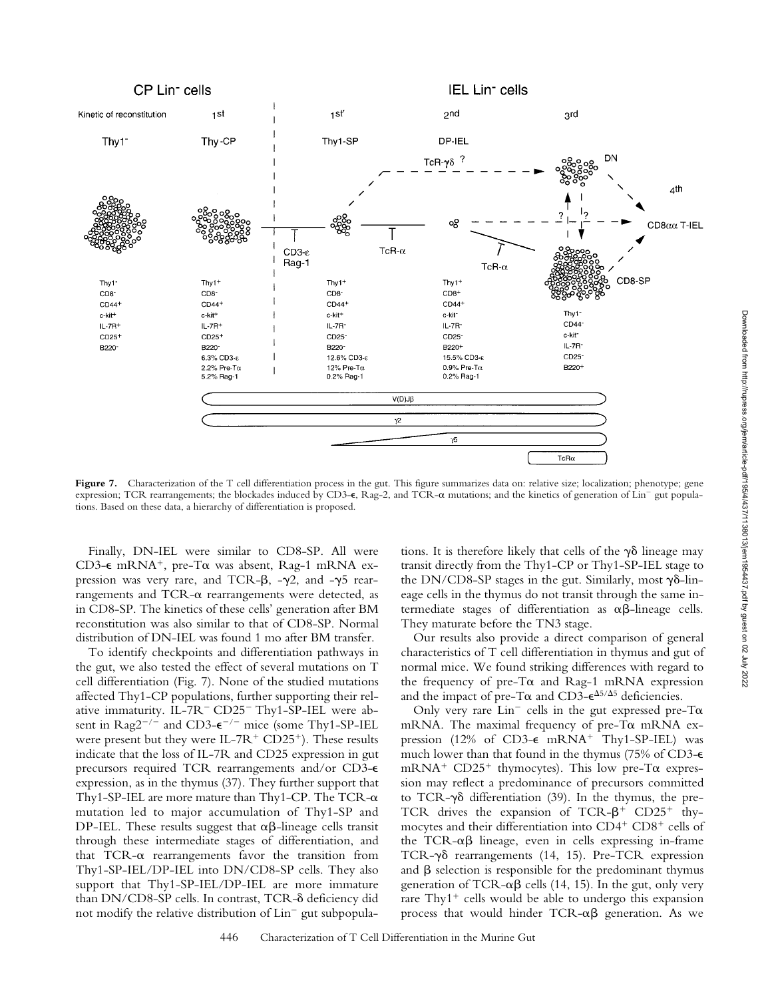

Figure 7. Characterization of the T cell differentiation process in the gut. This figure summarizes data on: relative size; localization; phenotype; gene expression; TCR rearrangements; the blockades induced by CD3- $\epsilon$ , Rag-2, and TCR- $\alpha$  mutations; and the kinetics of generation of Lin<sup>-</sup> gut populations. Based on these data, a hierarchy of differentiation is proposed.

Finally, DN-IEL were similar to CD8-SP. All were CD3-€ mRNA<sup>+</sup>, pre-Tα was absent, Rag-1 mRNA expression was very rare, and TCR- $\beta$ , - $\gamma$ 2, and - $\gamma$ 5 rearrangements and TCR- $\alpha$  rearrangements were detected, as in CD8-SP. The kinetics of these cells' generation after BM reconstitution was also similar to that of CD8-SP. Normal distribution of DN-IEL was found 1 mo after BM transfer.

To identify checkpoints and differentiation pathways in the gut, we also tested the effect of several mutations on T cell differentiation (Fig. 7). None of the studied mutations affected Thy1-CP populations, further supporting their relative immaturity. IL-7R<sup>-</sup> CD25<sup>-</sup> Thy1-SP-IEL were absent in  $\text{Rag2}^{-/-}$  and CD3- $\epsilon^{-/-}$  mice (some Thy1-SP-IEL were present but they were  $IL-7R^+$  CD25<sup>+</sup>). These results indicate that the loss of IL-7R and CD25 expression in gut precursors required TCR rearrangements and/or CD3- $\epsilon$ expression, as in the thymus (37). They further support that Thy1-SP-IEL are more mature than Thy1-CP. The TCR- $\alpha$ mutation led to major accumulation of Thy1-SP and DP-IEL. These results suggest that  $\alpha\beta$ -lineage cells transit through these intermediate stages of differentiation, and that TCR- $\alpha$  rearrangements favor the transition from Thy1-SP-IEL/DP-IEL into DN/CD8-SP cells. They also support that Thy1-SP-IEL/DP-IEL are more immature than DN/CD8-SP cells. In contrast, TCR- $\delta$  deficiency did not modify the relative distribution of  $Lin^-$  gut subpopulations. It is therefore likely that cells of the  $\gamma\delta$  lineage may transit directly from the Thy1-CP or Thy1-SP-IEL stage to the DN/CD8-SP stages in the gut. Similarly, most  $\gamma\delta$ -lineage cells in the thymus do not transit through the same intermediate stages of differentiation as  $\alpha\beta$ -lineage cells. They maturate before the TN3 stage.

Our results also provide a direct comparison of general characteristics of T cell differentiation in thymus and gut of normal mice. We found striking differences with regard to the frequency of pre-T $\alpha$  and Rag-1 mRNA expression and the impact of pre-T $\alpha$  and CD3- $\epsilon^{\Delta 5/\Delta 5}$  deficiencies.

Only very rare  $Lin^-$  cells in the gut expressed pre-T $\alpha$ mRNA. The maximal frequency of pre-T $\alpha$  mRNA expression (12% of CD3- $\epsilon$  mRNA<sup>+</sup> Thy1-SP-IEL) was much lower than that found in the thymus (75% of CD3- $\epsilon$ mRNA<sup>+</sup> CD25<sup>+</sup> thymocytes). This low pre-T $\alpha$  expression may reflect a predominance of precursors committed to TCR- $\gamma\delta$  differentiation (39). In the thymus, the pre-TCR drives the expansion of TCR- $\beta$ <sup>+</sup> CD25<sup>+</sup> thymocytes and their differentiation into  $CD4^+$   $CD8^+$  cells of the TCR- $\alpha\beta$  lineage, even in cells expressing in-frame TCR- $\gamma\delta$  rearrangements (14, 15). Pre-TCR expression and  $\beta$  selection is responsible for the predominant thymus generation of TCR- $\alpha\beta$  cells (14, 15). In the gut, only very rare  $\text{Thy1}^+$  cells would be able to undergo this expansion process that would hinder  $TCR-\alpha\beta$  generation. As we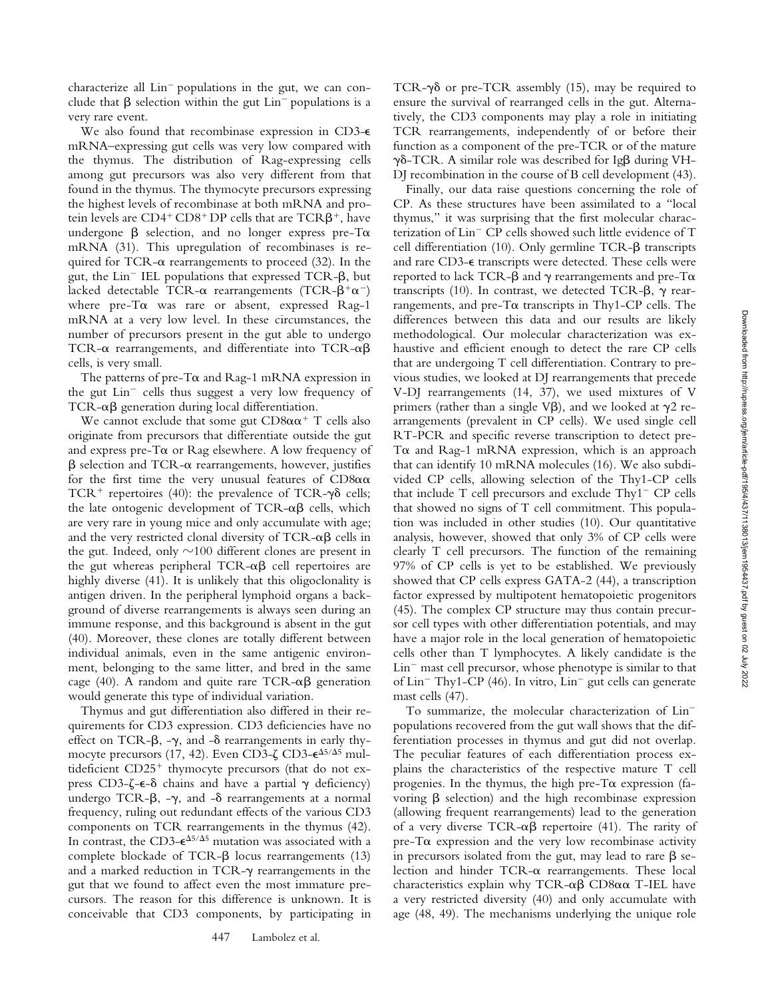characterize all  $Lin^-$  populations in the gut, we can conclude that  $\beta$  selection within the gut Lin<sup>-</sup> populations is a very rare event.

We also found that recombinase expression in CD3- $\epsilon$ mRNA–expressing gut cells was very low compared with the thymus. The distribution of Rag-expressing cells among gut precursors was also very different from that found in the thymus. The thymocyte precursors expressing the highest levels of recombinase at both mRNA and protein levels are  $CD4^+CD8^+DP$  cells that are  $TCR\beta^+$ , have undergone  $\beta$  selection, and no longer express pre-T $\alpha$ mRNA (31). This upregulation of recombinases is required for TCR- $\alpha$  rearrangements to proceed (32). In the gut, the  $Lin^-$  IEL populations that expressed TCR- $\beta$ , but lacked detectable TCR- $\alpha$  rearrangements (TCR- $\beta^+\alpha^-$ ) where  $pre-T\alpha$  was rare or absent, expressed Rag-1 mRNA at a very low level. In these circumstances, the number of precursors present in the gut able to undergo TCR- $\alpha$  rearrangements, and differentiate into TCR- $\alpha\beta$ cells, is very small.

The patterns of pre-T $\alpha$  and Rag-1 mRNA expression in the gut  $Lin^-$  cells thus suggest a very low frequency of  $TCR-\alpha\beta$  generation during local differentiation.

We cannot exclude that some gut  $CD8\alpha\alpha^+$  T cells also originate from precursors that differentiate outside the gut and express pre-T $\alpha$  or Rag elsewhere. A low frequency of  $\beta$  selection and TCR- $\alpha$  rearrangements, however, justifies for the first time the very unusual features of  $CD8\alpha\alpha$ TCR<sup>+</sup> repertoires (40): the prevalence of TCR- $\gamma\delta$  cells; the late ontogenic development of  $TCR-\alpha\beta$  cells, which are very rare in young mice and only accumulate with age; and the very restricted clonal diversity of TCR- $\alpha\beta$  cells in the gut. Indeed, only  $\sim$ 100 different clones are present in the gut whereas peripheral  $TCR-\alpha\beta$  cell repertoires are highly diverse (41). It is unlikely that this oligoclonality is antigen driven. In the peripheral lymphoid organs a background of diverse rearrangements is always seen during an immune response, and this background is absent in the gut (40). Moreover, these clones are totally different between individual animals, even in the same antigenic environment, belonging to the same litter, and bred in the same cage (40). A random and quite rare  $TCR-\alpha\beta$  generation would generate this type of individual variation.

Thymus and gut differentiation also differed in their requirements for CD3 expression. CD3 deficiencies have no effect on TCR- $\beta$ , - $\gamma$ , and - $\delta$  rearrangements in early thymocyte precursors (17, 42). Even CD3-ζ CD3-€<sup>∆5/∆5</sup> multideficient  $CD25<sup>+</sup>$  thymocyte precursors (that do not express CD3- $\zeta$ - $\epsilon$ - $\delta$  chains and have a partial  $\gamma$  deficiency) undergo TCR- $\beta$ ,  $-\gamma$ , and  $-\delta$  rearrangements at a normal frequency, ruling out redundant effects of the various CD3 components on TCR rearrangements in the thymus (42). In contrast, the CD3- $\epsilon^{\Delta 5/\Delta 5}$  mutation was associated with a complete blockade of TCR- $\beta$  locus rearrangements (13) and a marked reduction in TCR- $\gamma$  rearrangements in the gut that we found to affect even the most immature precursors. The reason for this difference is unknown. It is conceivable that CD3 components, by participating in TCR- $\gamma\delta$  or pre-TCR assembly (15), may be required to ensure the survival of rearranged cells in the gut. Alternatively, the CD3 components may play a role in initiating TCR rearrangements, independently of or before their function as a component of the pre-TCR or of the mature  $\gamma\delta$ -TCR. A similar role was described for Ig $\beta$  during VH-DJ recombination in the course of B cell development (43).

Finally, our data raise questions concerning the role of CP. As these structures have been assimilated to a "local thymus," it was surprising that the first molecular characterization of Lin<sup>-</sup> CP cells showed such little evidence of T cell differentiation (10). Only germline TCR- $\beta$  transcripts and rare CD3- $\epsilon$  transcripts were detected. These cells were reported to lack TCR- $\beta$  and  $\gamma$  rearrangements and pre-T $\alpha$ transcripts (10). In contrast, we detected TCR- $\beta$ ,  $\gamma$  rearrangements, and pre-T $\alpha$  transcripts in Thy1-CP cells. The differences between this data and our results are likely methodological. Our molecular characterization was exhaustive and efficient enough to detect the rare CP cells that are undergoing T cell differentiation. Contrary to previous studies, we looked at DJ rearrangements that precede V-DJ rearrangements (14, 37), we used mixtures of V primers (rather than a single V $\beta$ ), and we looked at  $\gamma$ 2 rearrangements (prevalent in CP cells). We used single cell RT-PCR and specific reverse transcription to detect pre-T $\alpha$  and Rag-1 mRNA expression, which is an approach that can identify 10 mRNA molecules (16). We also subdivided CP cells, allowing selection of the Thy1-CP cells that include  $T$  cell precursors and exclude  $Thy1 - CP$  cells that showed no signs of T cell commitment. This population was included in other studies (10). Our quantitative analysis, however, showed that only 3% of CP cells were clearly T cell precursors. The function of the remaining 97% of CP cells is yet to be established. We previously showed that CP cells express GATA-2 (44), a transcription factor expressed by multipotent hematopoietic progenitors (45). The complex CP structure may thus contain precursor cell types with other differentiation potentials, and may have a major role in the local generation of hematopoietic cells other than T lymphocytes. A likely candidate is the  $Lin<sup>-</sup>$  mast cell precursor, whose phenotype is similar to that of  $Lin<sup>-</sup> Thy1-CP (46)$ . In vitro,  $Lin<sup>-</sup>$  gut cells can generate mast cells (47).

To summarize, the molecular characterization of Lin populations recovered from the gut wall shows that the differentiation processes in thymus and gut did not overlap. The peculiar features of each differentiation process explains the characteristics of the respective mature T cell progenies. In the thymus, the high pre-T $\alpha$  expression (favoring  $\beta$  selection) and the high recombinase expression (allowing frequent rearrangements) lead to the generation of a very diverse TCR- $\alpha\beta$  repertoire (41). The rarity of  $pre-T\alpha$  expression and the very low recombinase activity in precursors isolated from the gut, may lead to rare  $\beta$  selection and hinder  $TCR-\alpha$  rearrangements. These local characteristics explain why TCR- $\alpha\beta$  CD8 $\alpha\alpha$  T-IEL have a very restricted diversity (40) and only accumulate with age (48, 49). The mechanisms underlying the unique role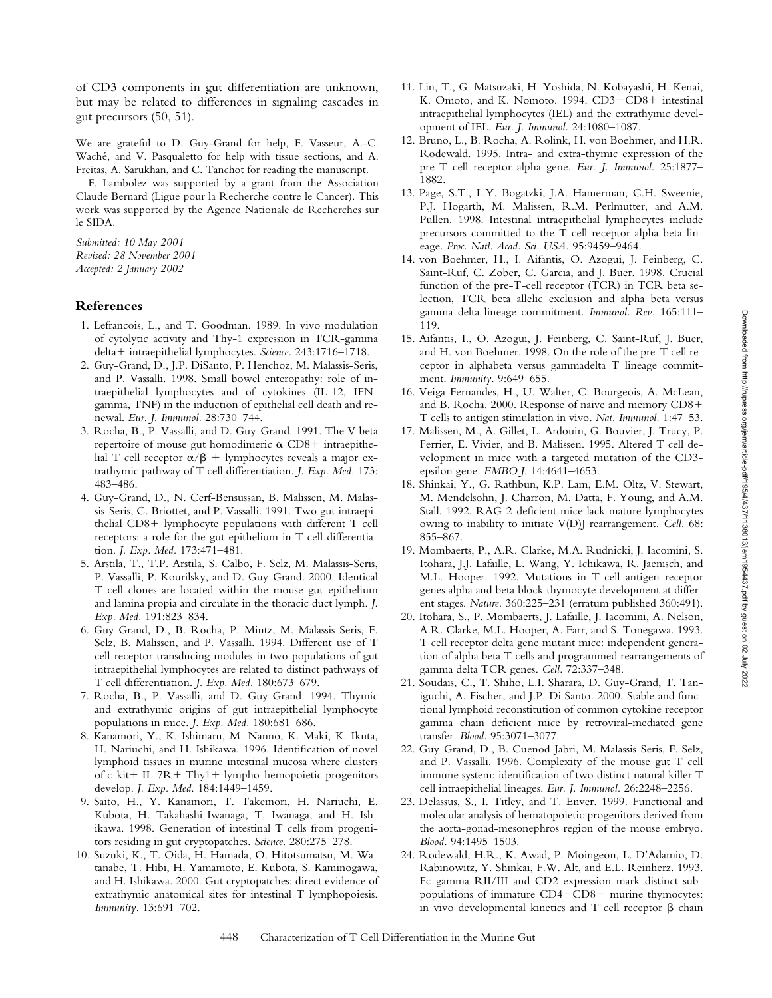Downloaded from http://rupress.org/jem/article-pdf/195/4/437/1138013/jem1954437.pdf by guest on 02 July 2022 Downloaded from http://rupress.org/jem/article-pdf/195/4/437/1138013/jem1954437.pdf by guest on 02 July 2022

of CD3 components in gut differentiation are unknown, but may be related to differences in signaling cascades in gut precursors (50, 51).

We are grateful to D. Guy-Grand for help, F. Vasseur, A.-C. Waché, and V. Pasqualetto for help with tissue sections, and A. Freitas, A. Sarukhan, and C. Tanchot for reading the manuscript.

F. Lambolez was supported by a grant from the Association Claude Bernard (Ligue pour la Recherche contre le Cancer). This work was supported by the Agence Nationale de Recherches sur le SIDA.

*Submitted: 10 May 2001 Revised: 28 November 2001 Accepted: 2 January 2002*

## **References**

- 1. Lefrancois, L., and T. Goodman. 1989. In vivo modulation of cytolytic activity and Thy-1 expression in TCR-gamma delta + intraepithelial lymphocytes. *Science*. 243:1716-1718.
- 2. Guy-Grand, D., J.P. DiSanto, P. Henchoz, M. Malassis-Seris, and P. Vassalli. 1998. Small bowel enteropathy: role of intraepithelial lymphocytes and of cytokines (IL-12, IFNgamma, TNF) in the induction of epithelial cell death and renewal. *Eur. J. Immunol.* 28:730–744.
- 3. Rocha, B., P. Vassalli, and D. Guy-Grand. 1991. The V beta repertoire of mouse gut homodimeric  $\alpha$  CD8+ intraepithelial T cell receptor  $\alpha/\beta$  + lymphocytes reveals a major extrathymic pathway of T cell differentiation. *J. Exp. Med.* 173: 483–486.
- 4. Guy-Grand, D., N. Cerf-Bensussan, B. Malissen, M. Malassis-Seris, C. Briottet, and P. Vassalli. 1991. Two gut intraepithelial  $CD8+$  lymphocyte populations with different  $T$  cell receptors: a role for the gut epithelium in T cell differentiation. *J. Exp. Med.* 173:471–481.
- 5. Arstila, T., T.P. Arstila, S. Calbo, F. Selz, M. Malassis-Seris, P. Vassalli, P. Kourilsky, and D. Guy-Grand. 2000. Identical T cell clones are located within the mouse gut epithelium and lamina propia and circulate in the thoracic duct lymph. *J. Exp. Med.* 191:823–834.
- 6. Guy-Grand, D., B. Rocha, P. Mintz, M. Malassis-Seris, F. Selz, B. Malissen, and P. Vassalli. 1994. Different use of T cell receptor transducing modules in two populations of gut intraepithelial lymphocytes are related to distinct pathways of T cell differentiation. *J. Exp. Med.* 180:673–679.
- 7. Rocha, B., P. Vassalli, and D. Guy-Grand. 1994. Thymic and extrathymic origins of gut intraepithelial lymphocyte populations in mice. *J. Exp. Med.* 180:681–686.
- 8. Kanamori, Y., K. Ishimaru, M. Nanno, K. Maki, K. Ikuta, H. Nariuchi, and H. Ishikawa. 1996. Identification of novel lymphoid tissues in murine intestinal mucosa where clusters of c-kit + IL-7R + Thy1 + lympho-hemopoietic progenitors develop. *J. Exp. Med.* 184:1449–1459.
- 9. Saito, H., Y. Kanamori, T. Takemori, H. Nariuchi, E. Kubota, H. Takahashi-Iwanaga, T. Iwanaga, and H. Ishikawa. 1998. Generation of intestinal T cells from progenitors residing in gut cryptopatches. *Science.* 280:275–278.
- 10. Suzuki, K., T. Oida, H. Hamada, O. Hitotsumatsu, M. Watanabe, T. Hibi, H. Yamamoto, E. Kubota, S. Kaminogawa, and H. Ishikawa. 2000. Gut cryptopatches: direct evidence of extrathymic anatomical sites for intestinal T lymphopoiesis. *Immunity.* 13:691–702.
- 11. Lin, T., G. Matsuzaki, H. Yoshida, N. Kobayashi, H. Kenai, K. Omoto, and K. Nomoto. 1994. CD3-CD8+ intestinal intraepithelial lymphocytes (IEL) and the extrathymic development of IEL. *Eur. J. Immunol.* 24:1080–1087.
- 12. Bruno, L., B. Rocha, A. Rolink, H. von Boehmer, and H.R. Rodewald. 1995. Intra- and extra-thymic expression of the pre-T cell receptor alpha gene. *Eur. J. Immunol.* 25:1877– 1882.
- 13. Page, S.T., L.Y. Bogatzki, J.A. Hamerman, C.H. Sweenie, P.J. Hogarth, M. Malissen, R.M. Perlmutter, and A.M. Pullen. 1998. Intestinal intraepithelial lymphocytes include precursors committed to the T cell receptor alpha beta lineage. *Proc. Natl. Acad. Sci. USA.* 95:9459–9464.
- 14. von Boehmer, H., I. Aifantis, O. Azogui, J. Feinberg, C. Saint-Ruf, C. Zober, C. Garcia, and J. Buer. 1998. Crucial function of the pre-T-cell receptor (TCR) in TCR beta selection, TCR beta allelic exclusion and alpha beta versus gamma delta lineage commitment. *Immunol. Rev.* 165:111– 119.
- 15. Aifantis, I., O. Azogui, J. Feinberg, C. Saint-Ruf, J. Buer, and H. von Boehmer. 1998. On the role of the pre-T cell receptor in alphabeta versus gammadelta T lineage commitment. *Immunity.* 9:649–655.
- 16. Veiga-Fernandes, H., U. Walter, C. Bourgeois, A. McLean, and B. Rocha. 2000. Response of naive and memory CD8 T cells to antigen stimulation in vivo. *Nat. Immunol.* 1:47–53.
- 17. Malissen, M., A. Gillet, L. Ardouin, G. Bouvier, J. Trucy, P. Ferrier, E. Vivier, and B. Malissen. 1995. Altered T cell development in mice with a targeted mutation of the CD3 epsilon gene. *EMBO J.* 14:4641–4653.
- 18. Shinkai, Y., G. Rathbun, K.P. Lam, E.M. Oltz, V. Stewart, M. Mendelsohn, J. Charron, M. Datta, F. Young, and A.M. Stall. 1992. RAG-2-deficient mice lack mature lymphocytes owing to inability to initiate V(D)J rearrangement. *Cell.* 68: 855–867.
- 19. Mombaerts, P., A.R. Clarke, M.A. Rudnicki, J. Iacomini, S. Itohara, J.J. Lafaille, L. Wang, Y. Ichikawa, R. Jaenisch, and M.L. Hooper. 1992. Mutations in T-cell antigen receptor genes alpha and beta block thymocyte development at different stages. *Nature.* 360:225–231 (erratum published 360:491).
- 20. Itohara, S., P. Mombaerts, J. Lafaille, J. Iacomini, A. Nelson, A.R. Clarke, M.L. Hooper, A. Farr, and S. Tonegawa. 1993. T cell receptor delta gene mutant mice: independent generation of alpha beta T cells and programmed rearrangements of gamma delta TCR genes. *Cell.* 72:337–348.
- 21. Soudais, C., T. Shiho, L.I. Sharara, D. Guy-Grand, T. Taniguchi, A. Fischer, and J.P. Di Santo. 2000. Stable and functional lymphoid reconstitution of common cytokine receptor gamma chain deficient mice by retroviral-mediated gene transfer. *Blood.* 95:3071–3077.
- 22. Guy-Grand, D., B. Cuenod-Jabri, M. Malassis-Seris, F. Selz, and P. Vassalli. 1996. Complexity of the mouse gut T cell immune system: identification of two distinct natural killer T cell intraepithelial lineages. *Eur. J. Immunol.* 26:2248–2256.
- 23. Delassus, S., I. Titley, and T. Enver. 1999. Functional and molecular analysis of hematopoietic progenitors derived from the aorta-gonad-mesonephros region of the mouse embryo. *Blood.* 94:1495–1503.
- 24. Rodewald, H.R., K. Awad, P. Moingeon, L. D'Adamio, D. Rabinowitz, Y. Shinkai, F.W. Alt, and E.L. Reinherz. 1993. Fc gamma RII/III and CD2 expression mark distinct subpopulations of immature  $CD4$  - $CD8$  - murine thymocytes: in vivo developmental kinetics and  $T$  cell receptor  $\beta$  chain